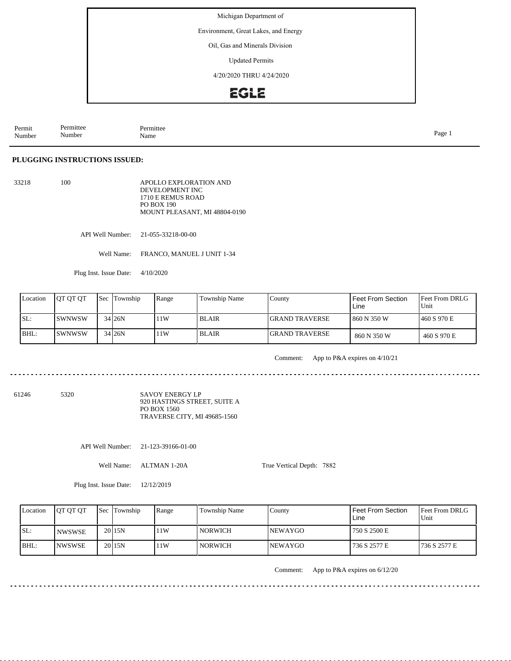Environment, Great Lakes, and Energy

Oil, Gas and Minerals Division

Updated Permits

4/20/2020 THRU 4/24/2020

## **EGLE**

| Permit<br>Number | Permittee<br>Number | Permittee<br>Name | Page<br>. . |
|------------------|---------------------|-------------------|-------------|
|------------------|---------------------|-------------------|-------------|

### **PLUGGING INSTRUCTIONS ISSUED:**

| 33218 | 100. | APOLLO EXPLORATION AND        |
|-------|------|-------------------------------|
|       |      | DEVELOPMENT INC               |
|       |      | 1710 E REMUS ROAD             |
|       |      | PO BOX 190                    |
|       |      | MOUNT PLEASANT, MI 48804-0190 |

API Well Number: 21-055-33218-00-00

Well Name: FRANCO, MANUEL J UNIT 1-34

Plug Inst. Issue Date: 4/10/2020

| Location | <b>JOT OT OT</b> | <b>Sec Township</b> | Range | Township Name | County                 | Feet From Section<br>Line | <b>Feet From DRLG</b><br>Unit |
|----------|------------------|---------------------|-------|---------------|------------------------|---------------------------|-------------------------------|
| SL:      | ISWNWSW          | 34 26N              | 11W   | l BLAIR       | <b>IGRAND TRAVERSE</b> | 860 N 350 W               | 1460 S 970 E                  |
| BHL:     | ISWNWSW          | 34 26N              | 11W   | l BLAIR       | <b>IGRAND TRAVERSE</b> | 860 N 350 W               | 460 S 970 E                   |

 $\frac{1}{2} \left( \frac{1}{2} \right) \left( \frac{1}{2} \right) \left( \frac{1}{2} \right) \left( \frac{1}{2} \right)$ 

Comment: App to P&A expires on 4/10/21

61246 5320

SAVOY ENERGY LP 920 HASTINGS STREET, SUITE A PO BOX 1560 TRAVERSE CITY, MI 49685-1560

API Well Number: 21-123-39166-01-00

Well Name: ALTMAN 1-20A

True Vertical Depth: 7882

Plug Inst. Issue Date: 12/12/2019

| Location | <b>IOT OT OT</b> | <b>Sec Township</b> | Range | Township Name  | County          | <b>Feet From Section</b><br>Line | <b>Feet From DRLG</b><br>Unit |
|----------|------------------|---------------------|-------|----------------|-----------------|----------------------------------|-------------------------------|
| ISL:     | I NWSWSE         | 20115N              | 11W   | <b>NORWICH</b> | <b>INEWAYGO</b> | 750 S 2500 E                     |                               |
| BHL:     | <b>INWSWSE</b>   | 20115N              | 11W   | <b>NORWICH</b> | <b>INEWAYGO</b> | 736 S 2577 E                     | 1736 S 2577 E                 |

Comment: App to P&A expires on 6/12/20

<u>. . . . . . . . . . . . . . . . . .</u>

 $- - - - - -$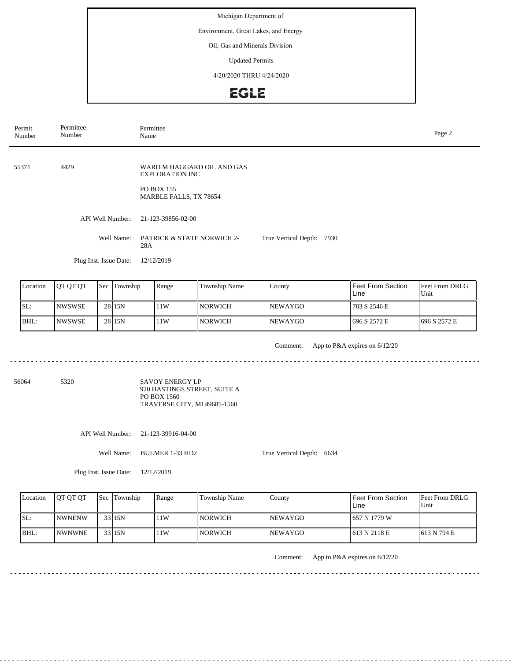Environment, Great Lakes, and Energy

Oil, Gas and Minerals Division

Updated Permits

4/20/2020 THRU 4/24/2020

## **EGLE**

| Permittee<br>Permit<br>Number<br>Number |                        | Permittee<br>Page 2<br>Name                          |                           |  |  |  |  |
|-----------------------------------------|------------------------|------------------------------------------------------|---------------------------|--|--|--|--|
|                                         |                        |                                                      |                           |  |  |  |  |
| 55371                                   | 4429                   | WARD M HAGGARD OIL AND GAS<br><b>EXPLORATION INC</b> |                           |  |  |  |  |
|                                         |                        | <b>PO BOX 155</b><br>MARBLE FALLS, TX 78654          |                           |  |  |  |  |
|                                         | API Well Number:       | 21-123-39856-02-00                                   |                           |  |  |  |  |
|                                         | Well Name:             | <b>PATRICK &amp; STATE NORWICH 2-</b><br>28A         | True Vertical Depth: 7930 |  |  |  |  |
|                                         | Plug Inst. Issue Date: | 12/12/2019                                           |                           |  |  |  |  |

| Location | <b>IOT OT OT</b> | 'Sec | Township          | Range | <b>Township Name</b> | County          | I Feet From Section<br>Line | Feet From DRLG<br>Unit |
|----------|------------------|------|-------------------|-------|----------------------|-----------------|-----------------------------|------------------------|
| ISL:     | <b>INWSWSE</b>   |      | 28 <sub>15N</sub> | 11W   | l norwich            | <b>INEWAYGO</b> | 703 S 2546 E                |                        |
| BHL:     | INWSWSE          |      | 28 <sub>15N</sub> | 11W   | l norwich            | <b>NEWAYGO</b>  | 696 S 2572 E                | 696 S 2572 E           |

Comment: App to P&A expires on 6/12/20

<u>. . . . . . . . . . . .</u> ....................................

56064 5320 SAVOY ENERGY LP 920 HASTINGS STREET, SUITE A PO BOX 1560 TRAVERSE CITY, MI 49685-1560

API Well Number: 21-123-39916-04-00

Well Name: BULMER 1-33 HD2

True Vertical Depth: 6634

Plug Inst. Issue Date: 12/12/2019

| Location | <b>IOT OT OT</b> | Sec Township | Range | Township Name  | County          | l Feet From Section<br>Line | <b>IFeet From DRLG</b><br>Unit |
|----------|------------------|--------------|-------|----------------|-----------------|-----------------------------|--------------------------------|
| SL:      | <b>INWNENW</b>   | 33 15N       | 11W   | <b>NORWICH</b> | <b>INEWAYGO</b> | 1657 N 1779 W               |                                |
| BHL:     | <b>INWNWNE</b>   | 33 15N       | 11W   | NORWICH        | <b>NEWAYGO</b>  | 1 613 N 2118 E              | 1613 N 794 E                   |

Comment: App to P&A expires on 6/12/20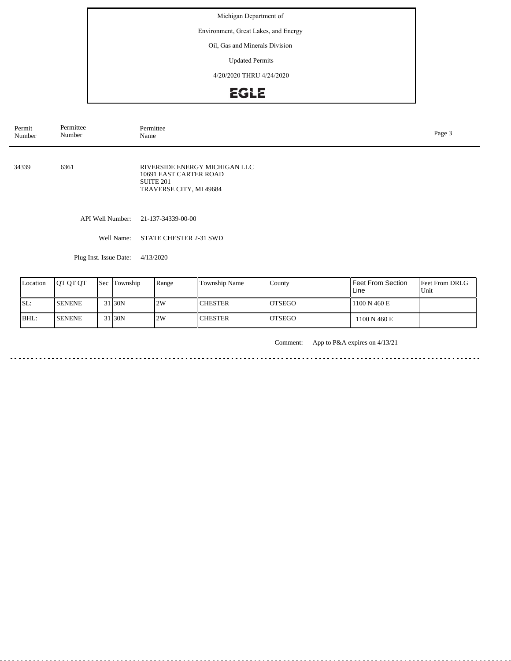Environment, Great Lakes, and Energy

Oil, Gas and Minerals Division

Updated Permits

4/20/2020 THRU 4/24/2020

# EGLE

| Permit<br>Number | Permittee<br>Number | Permittee<br>Name                                                                                          | Page 3 |
|------------------|---------------------|------------------------------------------------------------------------------------------------------------|--------|
| 34339            | 6361                | RIVERSIDE ENERGY MICHIGAN LLC<br>10691 EAST CARTER ROAD<br>SUITE <sub>201</sub><br>TRAVERSE CITY, MI 49684 |        |
|                  | API Well Number:    | 21-137-34339-00-00                                                                                         |        |
|                  | Well Name:          | STATE CHESTER 2-31 SWD                                                                                     |        |

Plug Inst. Issue Date: 4/13/2020

| Location | <b>OT OT OT</b> |        | <b>Sec</b> Township | Range | Township Name  | County         | Feet From Section<br>Line | <b>Feet From DRLG</b><br>'Unit |
|----------|-----------------|--------|---------------------|-------|----------------|----------------|---------------------------|--------------------------------|
| ISL:     | <b>SENENE</b>   | $\sim$ | 31 30N              | 2W    | <b>CHESTER</b> | <b>IOTSEGO</b> | 1100 N 460 E              |                                |
| BHL:     | <b>SENENE</b>   |        | 31 <sub>30</sub> N  | 2W    | <b>CHESTER</b> | <b>IOTSEGO</b> | 1100 N 460 E              |                                |

Comment: App to P&A expires on 4/13/21